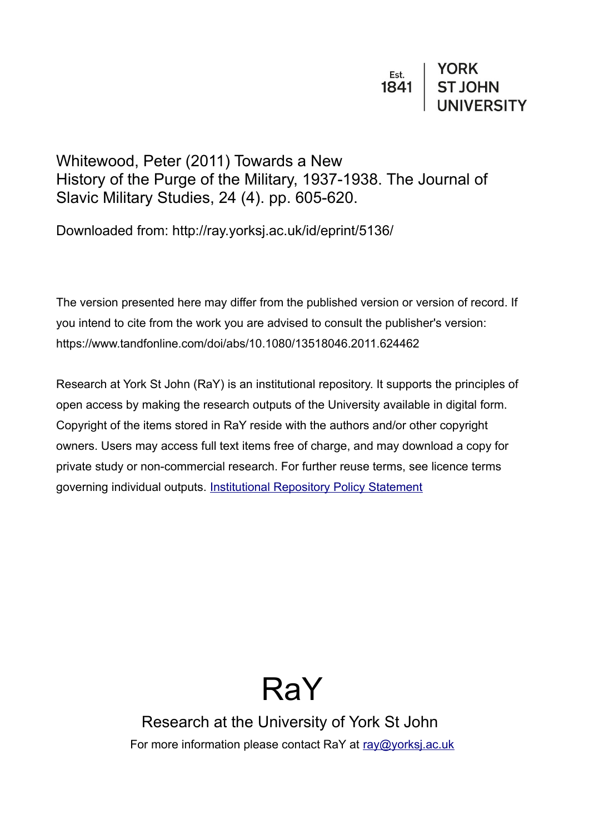## Whitewood, Peter (2011) Towards a New History of the Purge of the Military, 1937-1938. The Journal of Slavic Military Studies, 24 (4). pp. 605-620.

Downloaded from: http://ray.yorksj.ac.uk/id/eprint/5136/

The version presented here may differ from the published version or version of record. If you intend to cite from the work you are advised to consult the publisher's version: https://www.tandfonline.com/doi/abs/10.1080/13518046.2011.624462

Research at York St John (RaY) is an institutional repository. It supports the principles of open access by making the research outputs of the University available in digital form. Copyright of the items stored in RaY reside with the authors and/or other copyright owners. Users may access full text items free of charge, and may download a copy for private study or non-commercial research. For further reuse terms, see licence terms governing individual outputs. [Institutional Repository Policy Statement](https://www.yorksj.ac.uk/ils/repository-policies/)

## RaY

Research at the University of York St John For more information please contact RaY at [ray@yorksj.ac.uk](mailto:ray@yorksj.ac.uk)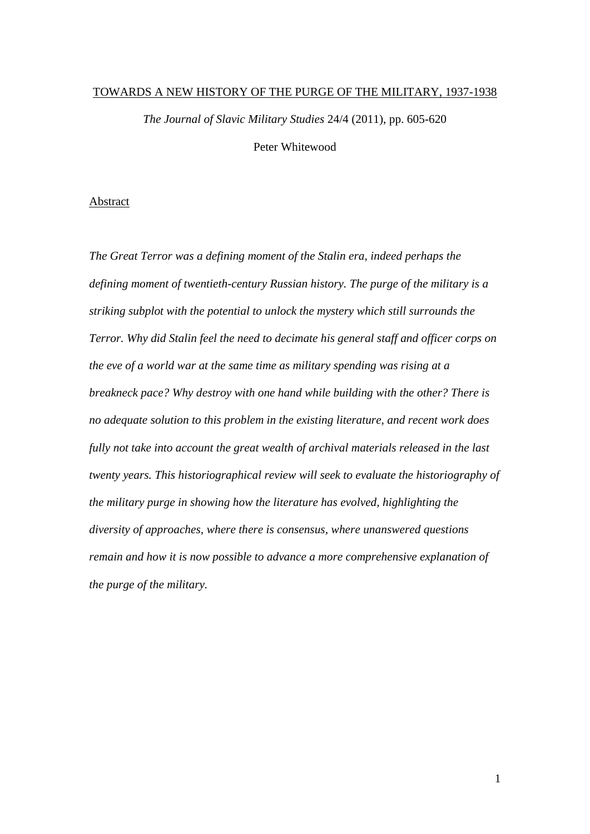## TOWARDS A NEW HISTORY OF THE PURGE OF THE MILITARY, 1937-1938

*The Journal of Slavic Military Studies* 24/4 (2011), pp. 605-620

Peter Whitewood

## Abstract

*The Great Terror was a defining moment of the Stalin era, indeed perhaps the defining moment of twentieth-century Russian history. The purge of the military is a striking subplot with the potential to unlock the mystery which still surrounds the Terror. Why did Stalin feel the need to decimate his general staff and officer corps on the eve of a world war at the same time as military spending was rising at a breakneck pace? Why destroy with one hand while building with the other? There is no adequate solution to this problem in the existing literature, and recent work does fully not take into account the great wealth of archival materials released in the last twenty years. This historiographical review will seek to evaluate the historiography of the military purge in showing how the literature has evolved, highlighting the diversity of approaches, where there is consensus, where unanswered questions remain and how it is now possible to advance a more comprehensive explanation of the purge of the military.*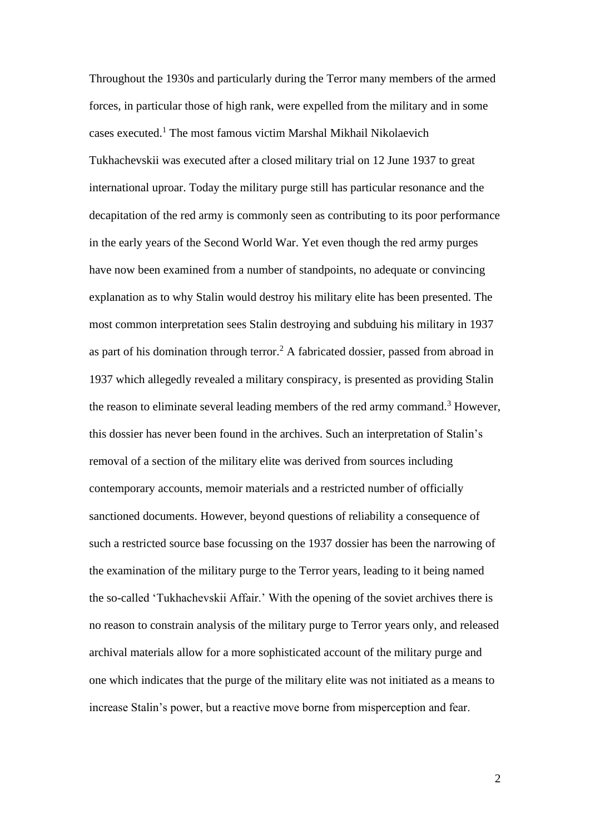Throughout the 1930s and particularly during the Terror many members of the armed forces, in particular those of high rank, were expelled from the military and in some cases executed.<sup>1</sup> The most famous victim Marshal Mikhail Nikolaevich Tukhachevskii was executed after a closed military trial on 12 June 1937 to great international uproar. Today the military purge still has particular resonance and the decapitation of the red army is commonly seen as contributing to its poor performance in the early years of the Second World War. Yet even though the red army purges have now been examined from a number of standpoints, no adequate or convincing explanation as to why Stalin would destroy his military elite has been presented. The most common interpretation sees Stalin destroying and subduing his military in 1937 as part of his domination through terror.<sup>2</sup> A fabricated dossier, passed from abroad in 1937 which allegedly revealed a military conspiracy, is presented as providing Stalin the reason to eliminate several leading members of the red army command.<sup>3</sup> However, this dossier has never been found in the archives. Such an interpretation of Stalin's removal of a section of the military elite was derived from sources including contemporary accounts, memoir materials and a restricted number of officially sanctioned documents. However, beyond questions of reliability a consequence of such a restricted source base focussing on the 1937 dossier has been the narrowing of the examination of the military purge to the Terror years, leading to it being named the so-called 'Tukhachevskii Affair.' With the opening of the soviet archives there is no reason to constrain analysis of the military purge to Terror years only, and released archival materials allow for a more sophisticated account of the military purge and one which indicates that the purge of the military elite was not initiated as a means to increase Stalin's power, but a reactive move borne from misperception and fear.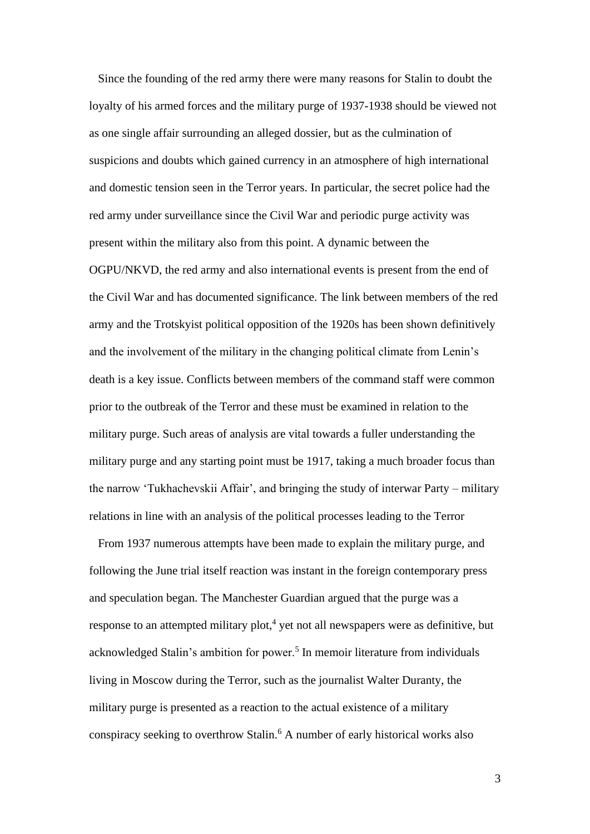Since the founding of the red army there were many reasons for Stalin to doubt the loyalty of his armed forces and the military purge of 1937-1938 should be viewed not as one single affair surrounding an alleged dossier, but as the culmination of suspicions and doubts which gained currency in an atmosphere of high international and domestic tension seen in the Terror years. In particular, the secret police had the red army under surveillance since the Civil War and periodic purge activity was present within the military also from this point. A dynamic between the OGPU/NKVD, the red army and also international events is present from the end of the Civil War and has documented significance. The link between members of the red army and the Trotskyist political opposition of the 1920s has been shown definitively and the involvement of the military in the changing political climate from Lenin's death is a key issue. Conflicts between members of the command staff were common prior to the outbreak of the Terror and these must be examined in relation to the military purge. Such areas of analysis are vital towards a fuller understanding the military purge and any starting point must be 1917, taking a much broader focus than the narrow 'Tukhachevskii Affair', and bringing the study of interwar Party – military relations in line with an analysis of the political processes leading to the Terror

 From 1937 numerous attempts have been made to explain the military purge, and following the June trial itself reaction was instant in the foreign contemporary press and speculation began. The Manchester Guardian argued that the purge was a response to an attempted military plot,<sup>4</sup> yet not all newspapers were as definitive, but acknowledged Stalin's ambition for power.<sup>5</sup> In memoir literature from individuals living in Moscow during the Terror, such as the journalist Walter Duranty, the military purge is presented as a reaction to the actual existence of a military conspiracy seeking to overthrow Stalin.<sup>6</sup> A number of early historical works also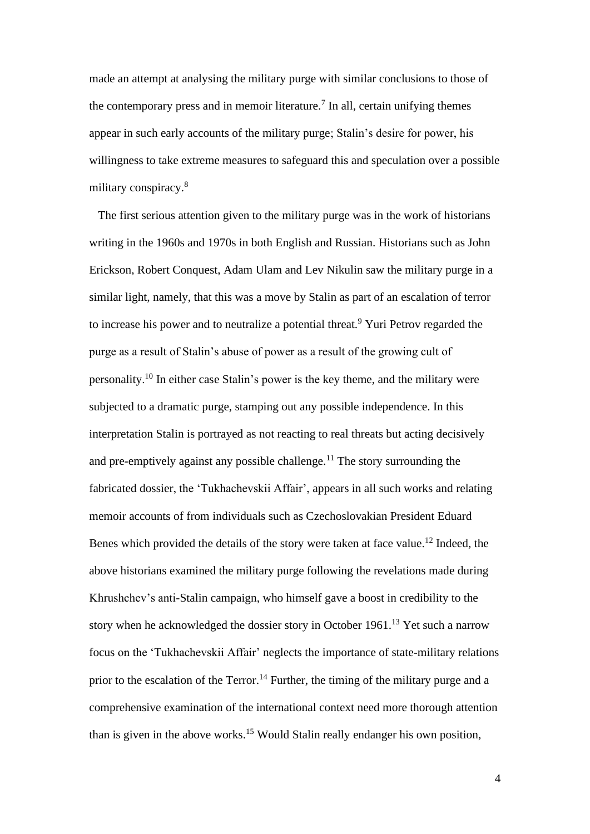made an attempt at analysing the military purge with similar conclusions to those of the contemporary press and in memoir literature.<sup>7</sup> In all, certain unifying themes appear in such early accounts of the military purge; Stalin's desire for power, his willingness to take extreme measures to safeguard this and speculation over a possible military conspiracy.<sup>8</sup>

 The first serious attention given to the military purge was in the work of historians writing in the 1960s and 1970s in both English and Russian. Historians such as John Erickson, Robert Conquest, Adam Ulam and Lev Nikulin saw the military purge in a similar light, namely, that this was a move by Stalin as part of an escalation of terror to increase his power and to neutralize a potential threat.<sup>9</sup> Yuri Petrov regarded the purge as a result of Stalin's abuse of power as a result of the growing cult of personality.<sup>10</sup> In either case Stalin's power is the key theme, and the military were subjected to a dramatic purge, stamping out any possible independence. In this interpretation Stalin is portrayed as not reacting to real threats but acting decisively and pre-emptively against any possible challenge.<sup>11</sup> The story surrounding the fabricated dossier, the 'Tukhachevskii Affair', appears in all such works and relating memoir accounts of from individuals such as Czechoslovakian President Eduard Benes which provided the details of the story were taken at face value.<sup>12</sup> Indeed, the above historians examined the military purge following the revelations made during Khrushchev's anti-Stalin campaign, who himself gave a boost in credibility to the story when he acknowledged the dossier story in October 1961.<sup>13</sup> Yet such a narrow focus on the 'Tukhachevskii Affair' neglects the importance of state-military relations prior to the escalation of the Terror.<sup>14</sup> Further, the timing of the military purge and a comprehensive examination of the international context need more thorough attention than is given in the above works. <sup>15</sup> Would Stalin really endanger his own position,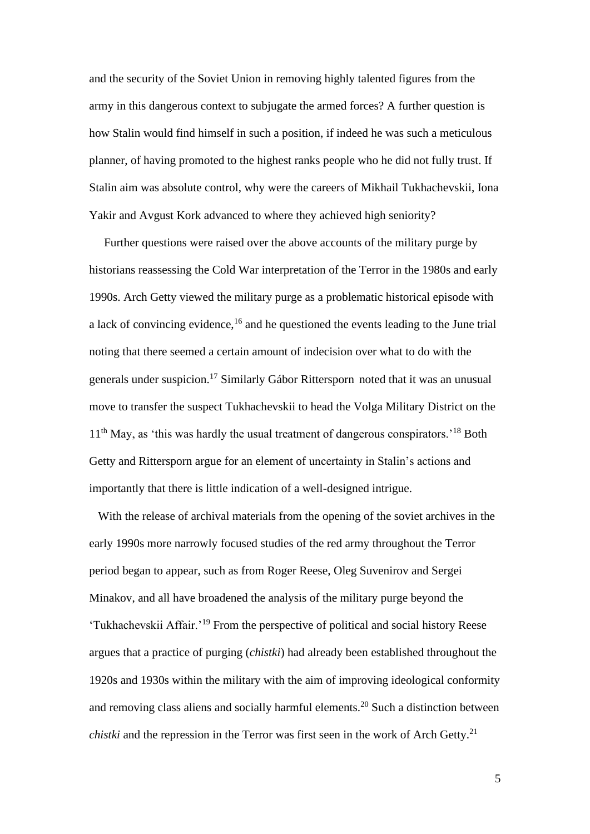and the security of the Soviet Union in removing highly talented figures from the army in this dangerous context to subjugate the armed forces? A further question is how Stalin would find himself in such a position, if indeed he was such a meticulous planner, of having promoted to the highest ranks people who he did not fully trust. If Stalin aim was absolute control, why were the careers of Mikhail Tukhachevskii, Iona Yakir and Avgust Kork advanced to where they achieved high seniority?

 Further questions were raised over the above accounts of the military purge by historians reassessing the Cold War interpretation of the Terror in the 1980s and early 1990s. Arch Getty viewed the military purge as a problematic historical episode with a lack of convincing evidence,<sup>16</sup> and he questioned the events leading to the June trial noting that there seemed a certain amount of indecision over what to do with the generals under suspicion. <sup>17</sup> Similarly Gábor Rittersporn noted that it was an unusual move to transfer the suspect Tukhachevskii to head the Volga Military District on the  $11<sup>th</sup>$  May, as 'this was hardly the usual treatment of dangerous conspirators.<sup>'18</sup> Both Getty and Rittersporn argue for an element of uncertainty in Stalin's actions and importantly that there is little indication of a well-designed intrigue.

 With the release of archival materials from the opening of the soviet archives in the early 1990s more narrowly focused studies of the red army throughout the Terror period began to appear, such as from Roger Reese, Oleg Suvenirov and Sergei Minakov, and all have broadened the analysis of the military purge beyond the 'Tukhachevskii Affair.'<sup>19</sup> From the perspective of political and social history Reese argues that a practice of purging (*chistki*) had already been established throughout the 1920s and 1930s within the military with the aim of improving ideological conformity and removing class aliens and socially harmful elements.<sup>20</sup> Such a distinction between *chistki* and the repression in the Terror was first seen in the work of Arch Getty.<sup>21</sup>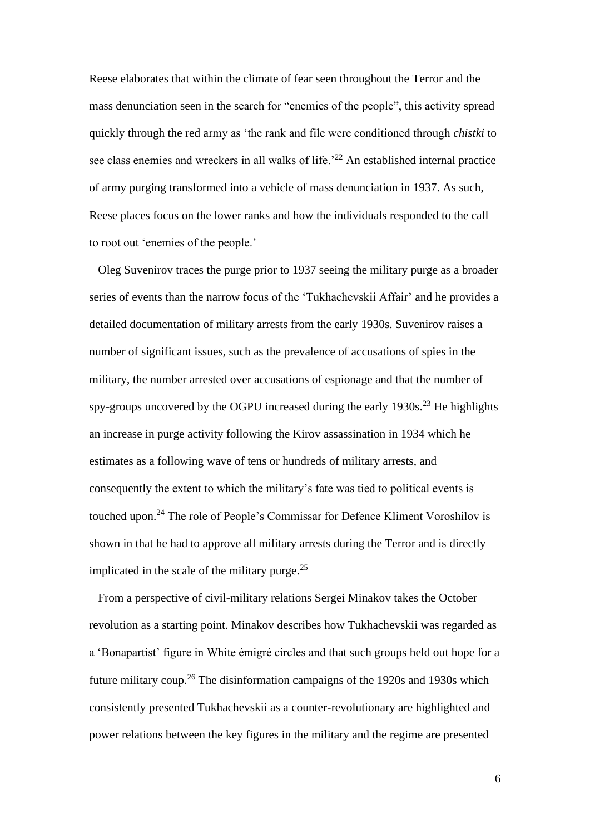Reese elaborates that within the climate of fear seen throughout the Terror and the mass denunciation seen in the search for "enemies of the people", this activity spread quickly through the red army as 'the rank and file were conditioned through *chistki* to see class enemies and wreckers in all walks of life.<sup>22</sup> An established internal practice of army purging transformed into a vehicle of mass denunciation in 1937. As such, Reese places focus on the lower ranks and how the individuals responded to the call to root out 'enemies of the people.'

 Oleg Suvenirov traces the purge prior to 1937 seeing the military purge as a broader series of events than the narrow focus of the 'Tukhachevskii Affair' and he provides a detailed documentation of military arrests from the early 1930s. Suvenirov raises a number of significant issues, such as the prevalence of accusations of spies in the military, the number arrested over accusations of espionage and that the number of spy-groups uncovered by the OGPU increased during the early  $1930s$ <sup>23</sup>. He highlights an increase in purge activity following the Kirov assassination in 1934 which he estimates as a following wave of tens or hundreds of military arrests, and consequently the extent to which the military's fate was tied to political events is touched upon.<sup>24</sup> The role of People's Commissar for Defence Kliment Voroshilov is shown in that he had to approve all military arrests during the Terror and is directly implicated in the scale of the military purge. $25$ 

 From a perspective of civil-military relations Sergei Minakov takes the October revolution as a starting point. Minakov describes how Tukhachevskii was regarded as a 'Bonapartist' figure in White émigré circles and that such groups held out hope for a future military coup.<sup>26</sup> The disinformation campaigns of the 1920s and 1930s which consistently presented Tukhachevskii as a counter-revolutionary are highlighted and power relations between the key figures in the military and the regime are presented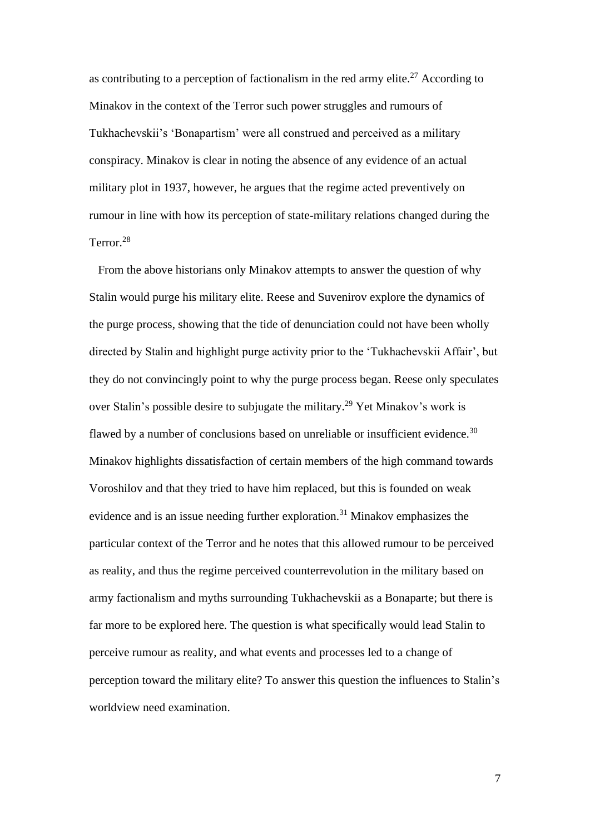as contributing to a perception of factionalism in the red army elite.<sup>27</sup> According to Minakov in the context of the Terror such power struggles and rumours of Tukhachevskii's 'Bonapartism' were all construed and perceived as a military conspiracy. Minakov is clear in noting the absence of any evidence of an actual military plot in 1937, however, he argues that the regime acted preventively on rumour in line with how its perception of state-military relations changed during the Terror. 28

 From the above historians only Minakov attempts to answer the question of why Stalin would purge his military elite. Reese and Suvenirov explore the dynamics of the purge process, showing that the tide of denunciation could not have been wholly directed by Stalin and highlight purge activity prior to the 'Tukhachevskii Affair', but they do not convincingly point to why the purge process began. Reese only speculates over Stalin's possible desire to subjugate the military.<sup>29</sup> Yet Minakov's work is flawed by a number of conclusions based on unreliable or insufficient evidence.<sup>30</sup> Minakov highlights dissatisfaction of certain members of the high command towards Voroshilov and that they tried to have him replaced, but this is founded on weak evidence and is an issue needing further exploration.<sup>31</sup> Minakov emphasizes the particular context of the Terror and he notes that this allowed rumour to be perceived as reality, and thus the regime perceived counterrevolution in the military based on army factionalism and myths surrounding Tukhachevskii as a Bonaparte; but there is far more to be explored here. The question is what specifically would lead Stalin to perceive rumour as reality, and what events and processes led to a change of perception toward the military elite? To answer this question the influences to Stalin's worldview need examination.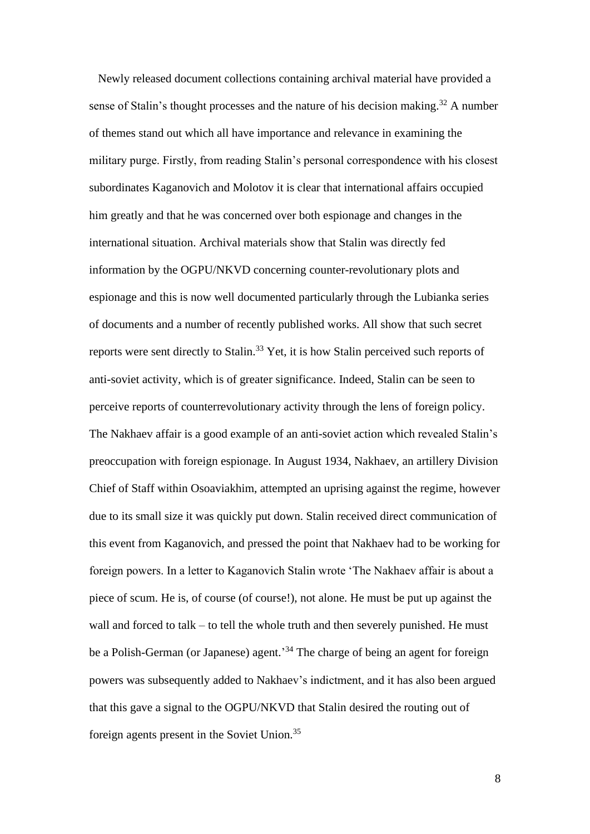Newly released document collections containing archival material have provided a sense of Stalin's thought processes and the nature of his decision making.<sup>32</sup> A number of themes stand out which all have importance and relevance in examining the military purge. Firstly, from reading Stalin's personal correspondence with his closest subordinates Kaganovich and Molotov it is clear that international affairs occupied him greatly and that he was concerned over both espionage and changes in the international situation. Archival materials show that Stalin was directly fed information by the OGPU/NKVD concerning counter-revolutionary plots and espionage and this is now well documented particularly through the Lubianka series of documents and a number of recently published works. All show that such secret reports were sent directly to Stalin.<sup>33</sup> Yet, it is how Stalin perceived such reports of anti-soviet activity, which is of greater significance. Indeed, Stalin can be seen to perceive reports of counterrevolutionary activity through the lens of foreign policy. The Nakhaev affair is a good example of an anti-soviet action which revealed Stalin's preoccupation with foreign espionage. In August 1934, Nakhaev, an artillery Division Chief of Staff within Osoaviakhim, attempted an uprising against the regime, however due to its small size it was quickly put down. Stalin received direct communication of this event from Kaganovich, and pressed the point that Nakhaev had to be working for foreign powers. In a letter to Kaganovich Stalin wrote 'The Nakhaev affair is about a piece of scum. He is, of course (of course!), not alone. He must be put up against the wall and forced to talk – to tell the whole truth and then severely punished. He must be a Polish-German (or Japanese) agent.<sup>34</sup> The charge of being an agent for foreign powers was subsequently added to Nakhaev's indictment, and it has also been argued that this gave a signal to the OGPU/NKVD that Stalin desired the routing out of foreign agents present in the Soviet Union.<sup>35</sup>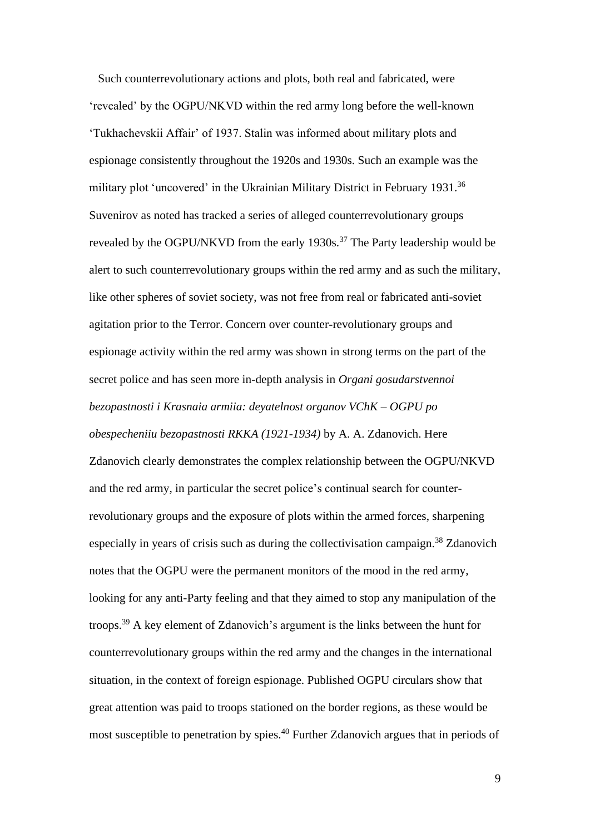Such counterrevolutionary actions and plots, both real and fabricated, were 'revealed' by the OGPU/NKVD within the red army long before the well-known 'Tukhachevskii Affair' of 1937. Stalin was informed about military plots and espionage consistently throughout the 1920s and 1930s. Such an example was the military plot 'uncovered' in the Ukrainian Military District in February 1931.<sup>36</sup> Suvenirov as noted has tracked a series of alleged counterrevolutionary groups revealed by the OGPU/NKVD from the early 1930s.<sup>37</sup> The Party leadership would be alert to such counterrevolutionary groups within the red army and as such the military, like other spheres of soviet society, was not free from real or fabricated anti-soviet agitation prior to the Terror. Concern over counter-revolutionary groups and espionage activity within the red army was shown in strong terms on the part of the secret police and has seen more in-depth analysis in *Organi gosudarstvennoi bezopastnosti i Krasnaia armiia: deyatelnost organov VChK – OGPU po obespecheniiu bezopastnosti RKKA (1921-1934)* by A. A. Zdanovich. Here Zdanovich clearly demonstrates the complex relationship between the OGPU/NKVD and the red army, in particular the secret police's continual search for counterrevolutionary groups and the exposure of plots within the armed forces, sharpening especially in years of crisis such as during the collectivisation campaign.<sup>38</sup> Zdanovich notes that the OGPU were the permanent monitors of the mood in the red army, looking for any anti-Party feeling and that they aimed to stop any manipulation of the troops.<sup>39</sup> A key element of Zdanovich's argument is the links between the hunt for counterrevolutionary groups within the red army and the changes in the international situation, in the context of foreign espionage. Published OGPU circulars show that great attention was paid to troops stationed on the border regions, as these would be most susceptible to penetration by spies.<sup>40</sup> Further Zdanovich argues that in periods of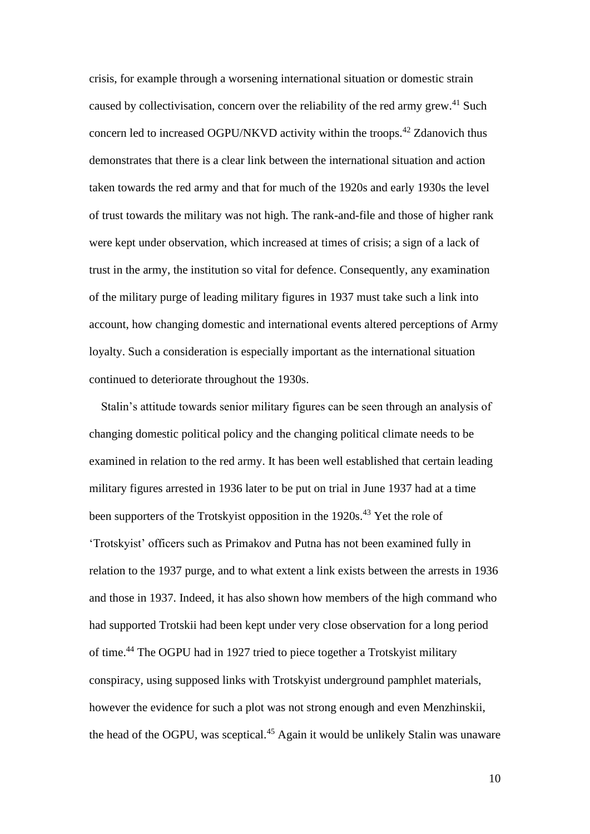crisis, for example through a worsening international situation or domestic strain caused by collectivisation, concern over the reliability of the red army grew.<sup>41</sup> Such concern led to increased OGPU/NKVD activity within the troops.<sup>42</sup> Zdanovich thus demonstrates that there is a clear link between the international situation and action taken towards the red army and that for much of the 1920s and early 1930s the level of trust towards the military was not high. The rank-and-file and those of higher rank were kept under observation, which increased at times of crisis; a sign of a lack of trust in the army, the institution so vital for defence. Consequently, any examination of the military purge of leading military figures in 1937 must take such a link into account, how changing domestic and international events altered perceptions of Army loyalty. Such a consideration is especially important as the international situation continued to deteriorate throughout the 1930s.

 Stalin's attitude towards senior military figures can be seen through an analysis of changing domestic political policy and the changing political climate needs to be examined in relation to the red army. It has been well established that certain leading military figures arrested in 1936 later to be put on trial in June 1937 had at a time been supporters of the Trotskyist opposition in the 1920s.<sup>43</sup> Yet the role of 'Trotskyist' officers such as Primakov and Putna has not been examined fully in relation to the 1937 purge, and to what extent a link exists between the arrests in 1936 and those in 1937. Indeed, it has also shown how members of the high command who had supported Trotskii had been kept under very close observation for a long period of time.<sup>44</sup> The OGPU had in 1927 tried to piece together a Trotskyist military conspiracy, using supposed links with Trotskyist underground pamphlet materials, however the evidence for such a plot was not strong enough and even Menzhinskii, the head of the OGPU, was sceptical.<sup>45</sup> Again it would be unlikely Stalin was unaware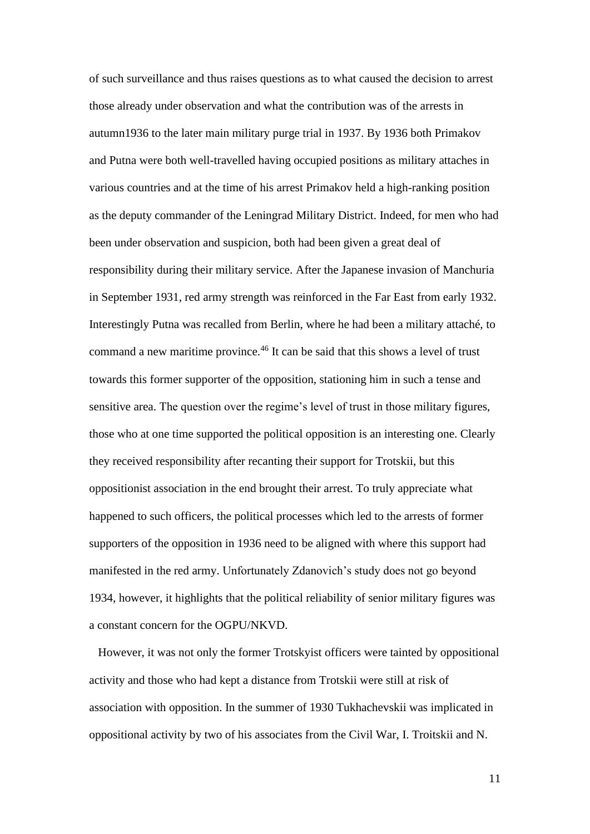of such surveillance and thus raises questions as to what caused the decision to arrest those already under observation and what the contribution was of the arrests in autumn1936 to the later main military purge trial in 1937. By 1936 both Primakov and Putna were both well-travelled having occupied positions as military attaches in various countries and at the time of his arrest Primakov held a high-ranking position as the deputy commander of the Leningrad Military District. Indeed, for men who had been under observation and suspicion, both had been given a great deal of responsibility during their military service. After the Japanese invasion of Manchuria in September 1931, red army strength was reinforced in the Far East from early 1932. Interestingly Putna was recalled from Berlin, where he had been a military attaché, to command a new maritime province. <sup>46</sup> It can be said that this shows a level of trust towards this former supporter of the opposition, stationing him in such a tense and sensitive area. The question over the regime's level of trust in those military figures, those who at one time supported the political opposition is an interesting one. Clearly they received responsibility after recanting their support for Trotskii, but this oppositionist association in the end brought their arrest. To truly appreciate what happened to such officers, the political processes which led to the arrests of former supporters of the opposition in 1936 need to be aligned with where this support had manifested in the red army. Unfortunately Zdanovich's study does not go beyond 1934, however, it highlights that the political reliability of senior military figures was a constant concern for the OGPU/NKVD.

 However, it was not only the former Trotskyist officers were tainted by oppositional activity and those who had kept a distance from Trotskii were still at risk of association with opposition. In the summer of 1930 Tukhachevskii was implicated in oppositional activity by two of his associates from the Civil War, I. Troitskii and N.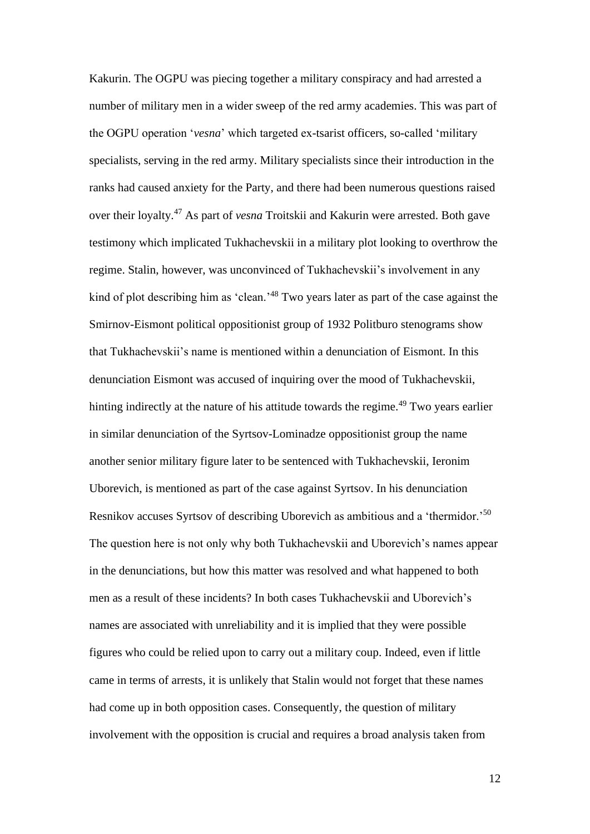Kakurin. The OGPU was piecing together a military conspiracy and had arrested a number of military men in a wider sweep of the red army academies. This was part of the OGPU operation '*vesna*' which targeted ex-tsarist officers, so-called 'military specialists, serving in the red army. Military specialists since their introduction in the ranks had caused anxiety for the Party, and there had been numerous questions raised over their loyalty.<sup>47</sup> As part of *vesna* Troitskii and Kakurin were arrested. Both gave testimony which implicated Tukhachevskii in a military plot looking to overthrow the regime. Stalin, however, was unconvinced of Tukhachevskii's involvement in any kind of plot describing him as 'clean.<sup>'48</sup> Two years later as part of the case against the Smirnov-Eismont political oppositionist group of 1932 Politburo stenograms show that Tukhachevskii's name is mentioned within a denunciation of Eismont. In this denunciation Eismont was accused of inquiring over the mood of Tukhachevskii, hinting indirectly at the nature of his attitude towards the regime.<sup>49</sup> Two years earlier in similar denunciation of the Syrtsov-Lominadze oppositionist group the name another senior military figure later to be sentenced with Tukhachevskii, Ieronim Uborevich, is mentioned as part of the case against Syrtsov. In his denunciation Resnikov accuses Syrtsov of describing Uborevich as ambitious and a 'thermidor.'<sup>50</sup> The question here is not only why both Tukhachevskii and Uborevich's names appear in the denunciations, but how this matter was resolved and what happened to both men as a result of these incidents? In both cases Tukhachevskii and Uborevich's names are associated with unreliability and it is implied that they were possible figures who could be relied upon to carry out a military coup. Indeed, even if little came in terms of arrests, it is unlikely that Stalin would not forget that these names had come up in both opposition cases. Consequently, the question of military involvement with the opposition is crucial and requires a broad analysis taken from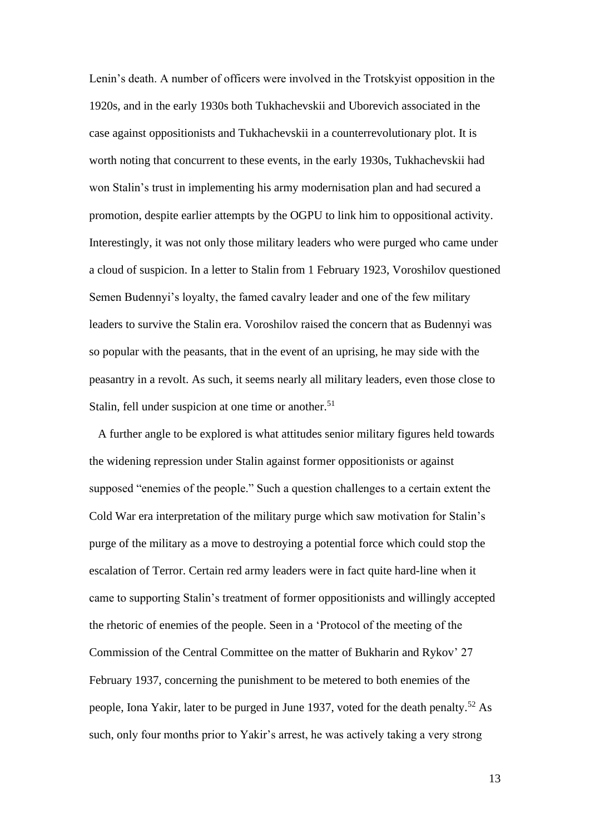Lenin's death. A number of officers were involved in the Trotskyist opposition in the 1920s, and in the early 1930s both Tukhachevskii and Uborevich associated in the case against oppositionists and Tukhachevskii in a counterrevolutionary plot. It is worth noting that concurrent to these events, in the early 1930s, Tukhachevskii had won Stalin's trust in implementing his army modernisation plan and had secured a promotion, despite earlier attempts by the OGPU to link him to oppositional activity. Interestingly, it was not only those military leaders who were purged who came under a cloud of suspicion. In a letter to Stalin from 1 February 1923, Voroshilov questioned Semen Budennyi's loyalty, the famed cavalry leader and one of the few military leaders to survive the Stalin era. Voroshilov raised the concern that as Budennyi was so popular with the peasants, that in the event of an uprising, he may side with the peasantry in a revolt. As such, it seems nearly all military leaders, even those close to Stalin, fell under suspicion at one time or another.<sup>51</sup>

 A further angle to be explored is what attitudes senior military figures held towards the widening repression under Stalin against former oppositionists or against supposed "enemies of the people." Such a question challenges to a certain extent the Cold War era interpretation of the military purge which saw motivation for Stalin's purge of the military as a move to destroying a potential force which could stop the escalation of Terror. Certain red army leaders were in fact quite hard-line when it came to supporting Stalin's treatment of former oppositionists and willingly accepted the rhetoric of enemies of the people. Seen in a 'Protocol of the meeting of the Commission of the Central Committee on the matter of Bukharin and Rykov' 27 February 1937, concerning the punishment to be metered to both enemies of the people, Iona Yakir, later to be purged in June 1937, voted for the death penalty.<sup>52</sup> As such, only four months prior to Yakir's arrest, he was actively taking a very strong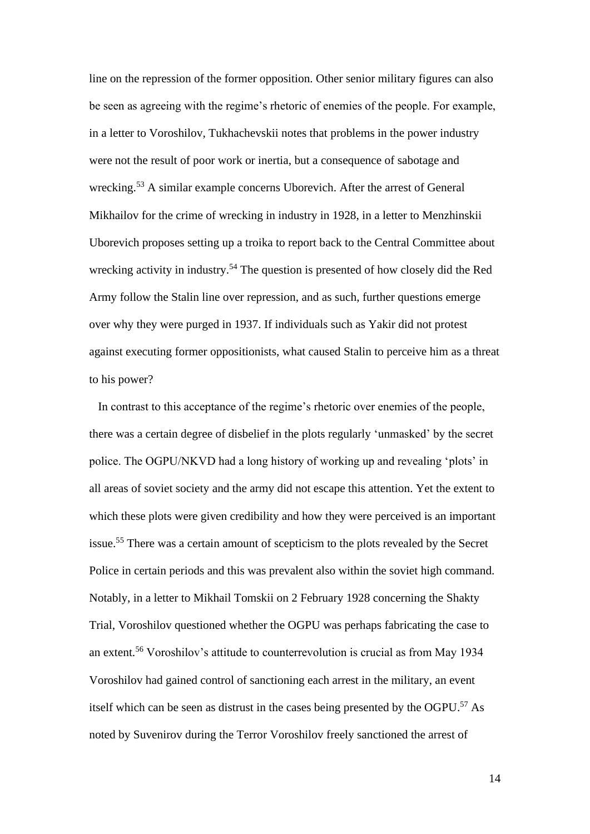line on the repression of the former opposition. Other senior military figures can also be seen as agreeing with the regime's rhetoric of enemies of the people. For example, in a letter to Voroshilov, Tukhachevskii notes that problems in the power industry were not the result of poor work or inertia, but a consequence of sabotage and wrecking.<sup>53</sup> A similar example concerns Uborevich. After the arrest of General Mikhailov for the crime of wrecking in industry in 1928, in a letter to Menzhinskii Uborevich proposes setting up a troika to report back to the Central Committee about wrecking activity in industry.<sup>54</sup> The question is presented of how closely did the Red Army follow the Stalin line over repression, and as such, further questions emerge over why they were purged in 1937. If individuals such as Yakir did not protest against executing former oppositionists, what caused Stalin to perceive him as a threat to his power?

 In contrast to this acceptance of the regime's rhetoric over enemies of the people, there was a certain degree of disbelief in the plots regularly 'unmasked' by the secret police. The OGPU/NKVD had a long history of working up and revealing 'plots' in all areas of soviet society and the army did not escape this attention. Yet the extent to which these plots were given credibility and how they were perceived is an important issue.<sup>55</sup> There was a certain amount of scepticism to the plots revealed by the Secret Police in certain periods and this was prevalent also within the soviet high command. Notably, in a letter to Mikhail Tomskii on 2 February 1928 concerning the Shakty Trial, Voroshilov questioned whether the OGPU was perhaps fabricating the case to an extent.<sup>56</sup> Voroshilov's attitude to counterrevolution is crucial as from May 1934 Voroshilov had gained control of sanctioning each arrest in the military, an event itself which can be seen as distrust in the cases being presented by the OGPU. <sup>57</sup> As noted by Suvenirov during the Terror Voroshilov freely sanctioned the arrest of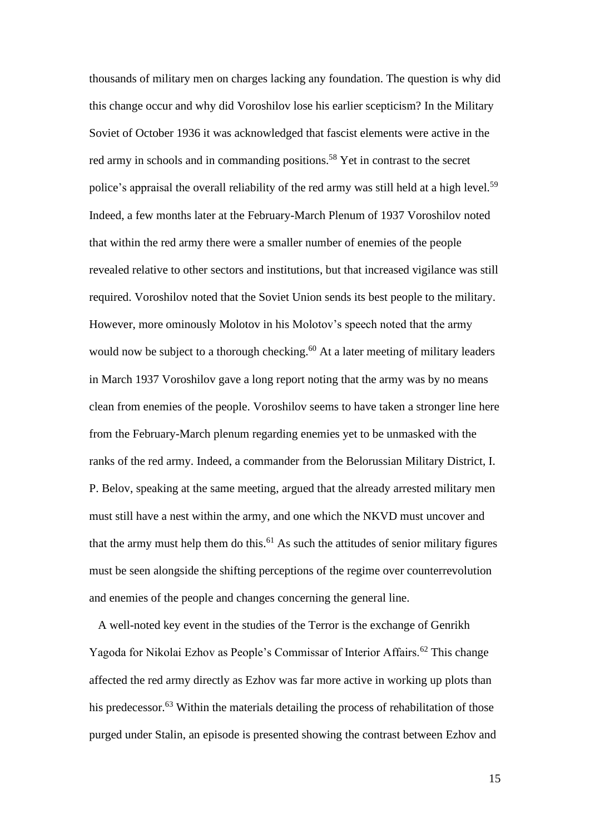thousands of military men on charges lacking any foundation. The question is why did this change occur and why did Voroshilov lose his earlier scepticism? In the Military Soviet of October 1936 it was acknowledged that fascist elements were active in the red army in schools and in commanding positions.<sup>58</sup> Yet in contrast to the secret police's appraisal the overall reliability of the red army was still held at a high level.<sup>59</sup> Indeed, a few months later at the February-March Plenum of 1937 Voroshilov noted that within the red army there were a smaller number of enemies of the people revealed relative to other sectors and institutions, but that increased vigilance was still required. Voroshilov noted that the Soviet Union sends its best people to the military. However, more ominously Molotov in his Molotov's speech noted that the army would now be subject to a thorough checking.<sup>60</sup> At a later meeting of military leaders in March 1937 Voroshilov gave a long report noting that the army was by no means clean from enemies of the people. Voroshilov seems to have taken a stronger line here from the February-March plenum regarding enemies yet to be unmasked with the ranks of the red army. Indeed, a commander from the Belorussian Military District, I. P. Belov, speaking at the same meeting, argued that the already arrested military men must still have a nest within the army, and one which the NKVD must uncover and that the army must help them do this.<sup>61</sup> As such the attitudes of senior military figures must be seen alongside the shifting perceptions of the regime over counterrevolution and enemies of the people and changes concerning the general line.

 A well-noted key event in the studies of the Terror is the exchange of Genrikh Yagoda for Nikolai Ezhov as People's Commissar of Interior Affairs.<sup>62</sup> This change affected the red army directly as Ezhov was far more active in working up plots than his predecessor. $63$  Within the materials detailing the process of rehabilitation of those purged under Stalin, an episode is presented showing the contrast between Ezhov and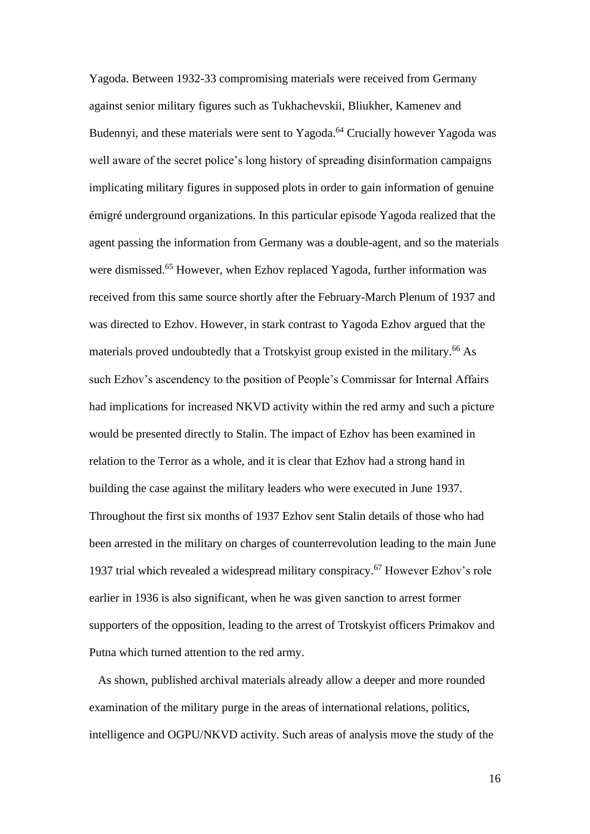Yagoda. Between 1932-33 compromising materials were received from Germany against senior military figures such as Tukhachevskii, Bliukher, Kamenev and Budennyi, and these materials were sent to Yagoda.<sup>64</sup> Crucially however Yagoda was well aware of the secret police's long history of spreading disinformation campaigns implicating military figures in supposed plots in order to gain information of genuine émigré underground organizations. In this particular episode Yagoda realized that the agent passing the information from Germany was a double-agent, and so the materials were dismissed.<sup>65</sup> However, when Ezhov replaced Yagoda, further information was received from this same source shortly after the February-March Plenum of 1937 and was directed to Ezhov. However, in stark contrast to Yagoda Ezhov argued that the materials proved undoubtedly that a Trotskyist group existed in the military.<sup>66</sup> As such Ezhov's ascendency to the position of People's Commissar for Internal Affairs had implications for increased NKVD activity within the red army and such a picture would be presented directly to Stalin. The impact of Ezhov has been examined in relation to the Terror as a whole, and it is clear that Ezhov had a strong hand in building the case against the military leaders who were executed in June 1937. Throughout the first six months of 1937 Ezhov sent Stalin details of those who had been arrested in the military on charges of counterrevolution leading to the main June 1937 trial which revealed a widespread military conspiracy.<sup>67</sup> However Ezhov's role earlier in 1936 is also significant, when he was given sanction to arrest former supporters of the opposition, leading to the arrest of Trotskyist officers Primakov and Putna which turned attention to the red army.

 As shown, published archival materials already allow a deeper and more rounded examination of the military purge in the areas of international relations, politics, intelligence and OGPU/NKVD activity. Such areas of analysis move the study of the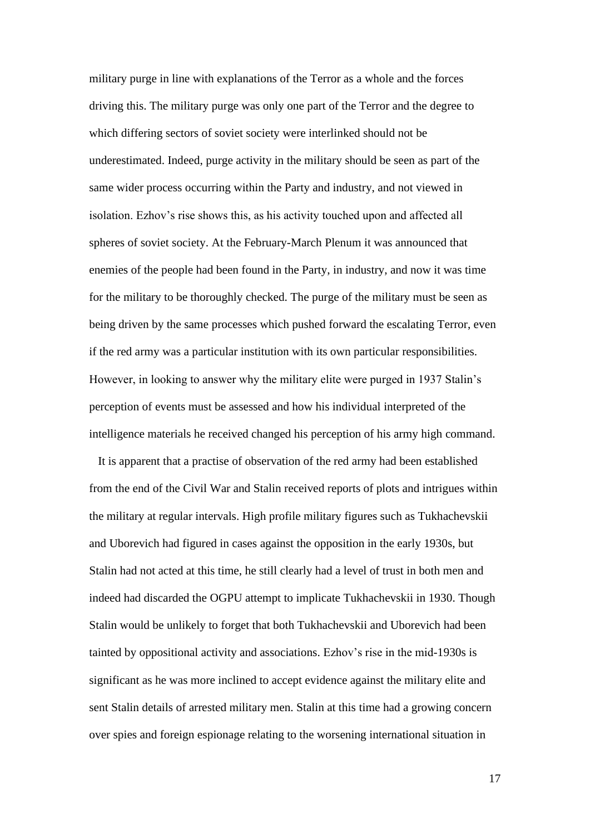military purge in line with explanations of the Terror as a whole and the forces driving this. The military purge was only one part of the Terror and the degree to which differing sectors of soviet society were interlinked should not be underestimated. Indeed, purge activity in the military should be seen as part of the same wider process occurring within the Party and industry, and not viewed in isolation. Ezhov's rise shows this, as his activity touched upon and affected all spheres of soviet society. At the February-March Plenum it was announced that enemies of the people had been found in the Party, in industry, and now it was time for the military to be thoroughly checked. The purge of the military must be seen as being driven by the same processes which pushed forward the escalating Terror, even if the red army was a particular institution with its own particular responsibilities. However, in looking to answer why the military elite were purged in 1937 Stalin's perception of events must be assessed and how his individual interpreted of the intelligence materials he received changed his perception of his army high command.

 It is apparent that a practise of observation of the red army had been established from the end of the Civil War and Stalin received reports of plots and intrigues within the military at regular intervals. High profile military figures such as Tukhachevskii and Uborevich had figured in cases against the opposition in the early 1930s, but Stalin had not acted at this time, he still clearly had a level of trust in both men and indeed had discarded the OGPU attempt to implicate Tukhachevskii in 1930. Though Stalin would be unlikely to forget that both Tukhachevskii and Uborevich had been tainted by oppositional activity and associations. Ezhov's rise in the mid-1930s is significant as he was more inclined to accept evidence against the military elite and sent Stalin details of arrested military men. Stalin at this time had a growing concern over spies and foreign espionage relating to the worsening international situation in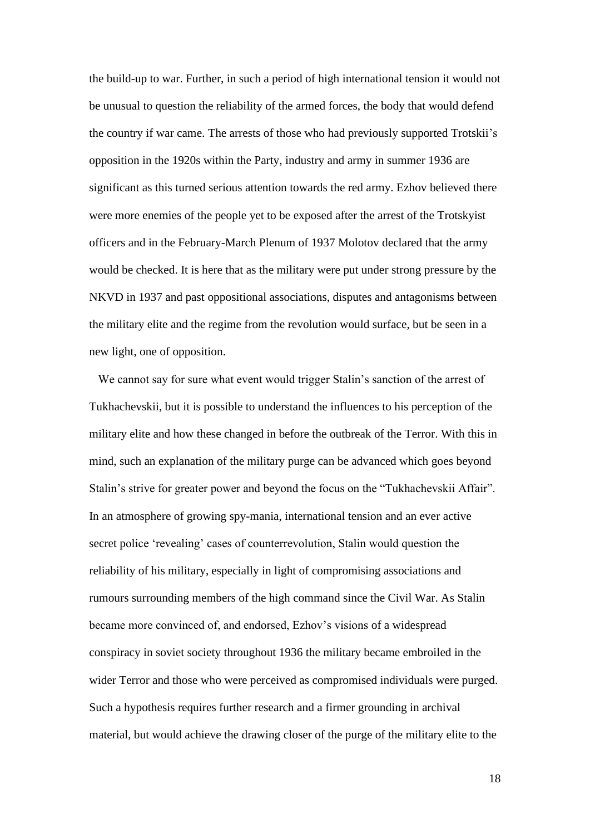the build-up to war. Further, in such a period of high international tension it would not be unusual to question the reliability of the armed forces, the body that would defend the country if war came. The arrests of those who had previously supported Trotskii's opposition in the 1920s within the Party, industry and army in summer 1936 are significant as this turned serious attention towards the red army. Ezhov believed there were more enemies of the people yet to be exposed after the arrest of the Trotskyist officers and in the February-March Plenum of 1937 Molotov declared that the army would be checked. It is here that as the military were put under strong pressure by the NKVD in 1937 and past oppositional associations, disputes and antagonisms between the military elite and the regime from the revolution would surface, but be seen in a new light, one of opposition.

 We cannot say for sure what event would trigger Stalin's sanction of the arrest of Tukhachevskii, but it is possible to understand the influences to his perception of the military elite and how these changed in before the outbreak of the Terror. With this in mind, such an explanation of the military purge can be advanced which goes beyond Stalin's strive for greater power and beyond the focus on the "Tukhachevskii Affair". In an atmosphere of growing spy-mania, international tension and an ever active secret police 'revealing' cases of counterrevolution, Stalin would question the reliability of his military, especially in light of compromising associations and rumours surrounding members of the high command since the Civil War. As Stalin became more convinced of, and endorsed, Ezhov's visions of a widespread conspiracy in soviet society throughout 1936 the military became embroiled in the wider Terror and those who were perceived as compromised individuals were purged. Such a hypothesis requires further research and a firmer grounding in archival material, but would achieve the drawing closer of the purge of the military elite to the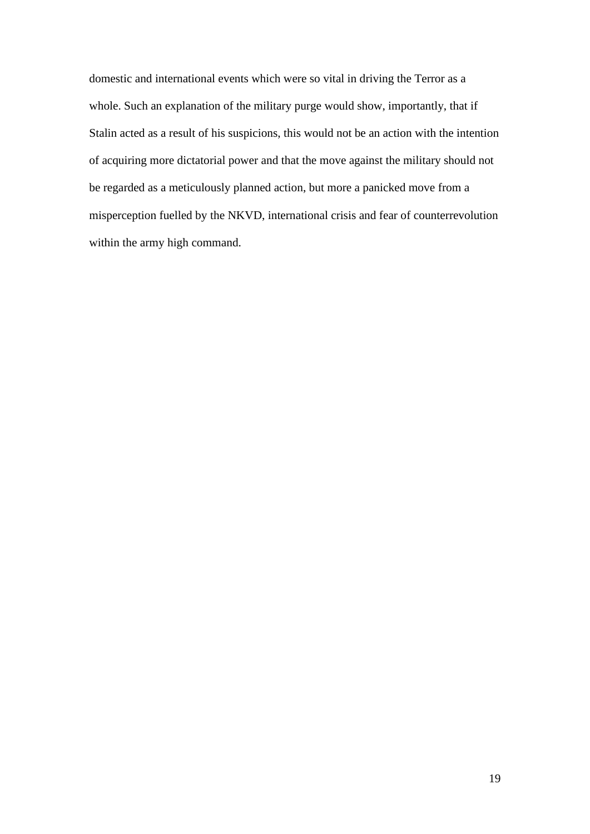domestic and international events which were so vital in driving the Terror as a whole. Such an explanation of the military purge would show, importantly, that if Stalin acted as a result of his suspicions, this would not be an action with the intention of acquiring more dictatorial power and that the move against the military should not be regarded as a meticulously planned action, but more a panicked move from a misperception fuelled by the NKVD, international crisis and fear of counterrevolution within the army high command.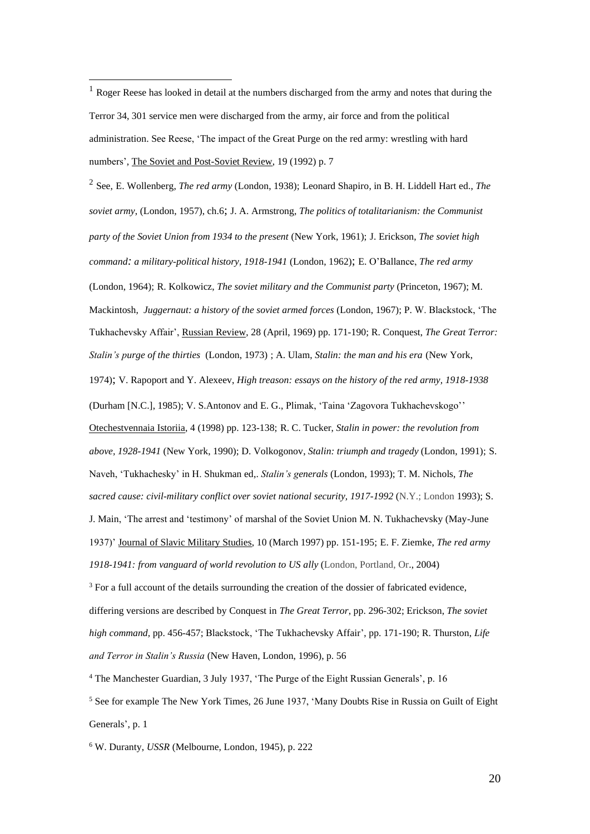2 See, E. Wollenberg, *The red army* (London, 1938); Leonard Shapiro, in B. H. Liddell Hart ed., *The soviet army*, (London, 1957), ch.6; J. A. Armstrong, *The politics of totalitarianism: the Communist party of the Soviet Union from 1934 to the present* (New York, 1961); J. Erickson, *The soviet high command: a military-political history, 1918-1941* (London, 1962); E. O'Ballance, *The red army*  (London, 1964); R. Kolkowicz, *The soviet military and the Communist party* (Princeton, 1967); M. Mackintosh, *Juggernaut: a history of the soviet armed forces* (London, 1967); P. W. Blackstock, 'The Tukhachevsky Affair', Russian Review, 28 (April, 1969) pp. 171-190; R. Conquest, *The Great Terror: Stalin's purge of the thirties* (London, 1973) ; A. Ulam, *Stalin: the man and his era* (New York, 1974); V. Rapoport and Y. Alexeev, *High treason: essays on the history of the red army, 1918-1938* (Durham [N.C.], 1985); V. S.Antonov and E. G., Plimak, 'Taina 'Zagovora Tukhachevskogo'' Otechestvennaia Istoriia, 4 (1998) pp. 123-138; R. C. Tucker, *Stalin in power: the revolution from above, 1928-1941* (New York, 1990); D. Volkogonov, *Stalin: triumph and tragedy* (London, 1991); S. Naveh, 'Tukhachesky' in H. Shukman ed,. *Stalin's generals* (London, 1993); T. M. Nichols, *The sacred cause: civil-military conflict over soviet national security, 1917-1992* (N.Y.; London 1993); S. J. Main, 'The arrest and 'testimony' of marshal of the Soviet Union M. N. Tukhachevsky (May-June 1937)' Journal of Slavic Military Studies, 10 (March 1997) pp. 151-195; E. F. Ziemke, *The red army 1918-1941: from vanguard of world revolution to US ally* (London, Portland, Or., 2004)

<sup>3</sup> For a full account of the details surrounding the creation of the dossier of fabricated evidence, differing versions are described by Conquest in *The Great Terror*, pp. 296-302; Erickson, *The soviet high command,* pp. 456-457; Blackstock, 'The Tukhachevsky Affair', pp. 171-190; R. Thurston, *Life and Terror in Stalin's Russia* (New Haven, London, 1996), p. 56

<sup>4</sup> The Manchester Guardian, 3 July 1937, 'The Purge of the Eight Russian Generals', p. 16

<sup>5</sup> See for example The New York Times, 26 June 1937, 'Many Doubts Rise in Russia on Guilt of Eight Generals', p. 1

<sup>6</sup> W. Duranty, *USSR* (Melbourne, London, 1945), p. 222

 $1$  Roger Reese has looked in detail at the numbers discharged from the army and notes that during the Terror 34, 301 service men were discharged from the army, air force and from the political administration. See Reese, 'The impact of the Great Purge on the red army: wrestling with hard numbers', The Soviet and Post-Soviet Review, 19 (1992) p. 7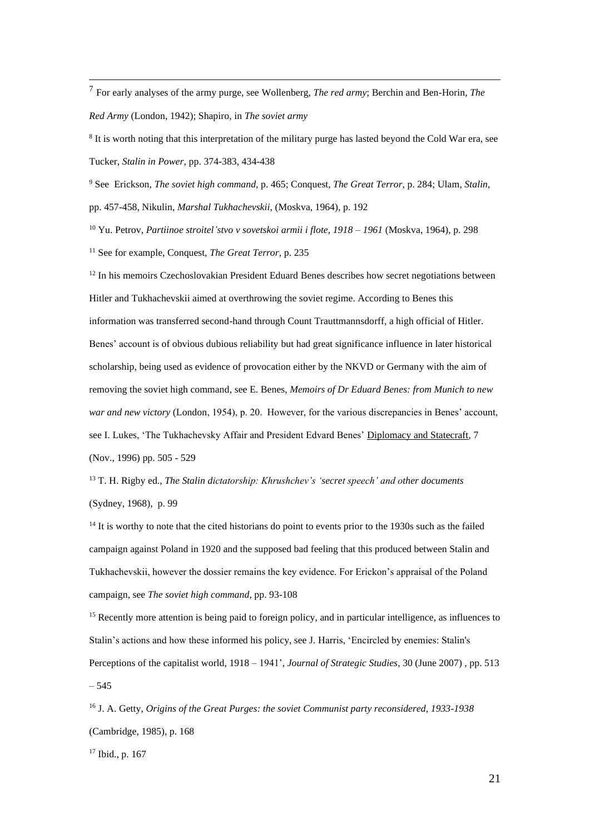7 For early analyses of the army purge, see Wollenberg, *The red army*; Berchin and Ben-Horin, *The Red Army* (London, 1942); Shapiro, in *The soviet army*

<sup>8</sup> It is worth noting that this interpretation of the military purge has lasted beyond the Cold War era, see Tucker, *Stalin in Power*, pp. 374-383, 434-438

<sup>9</sup> See Erickson, *The soviet high command*, p. 465; Conquest, *The Great Terror*, p. 284; Ulam, *Stalin*, pp. 457-458, Nikulin, *Marshal Tukhachevskii*, (Moskva, 1964), p. 192

<sup>10</sup> Yu. Petrov, *Partiinoe stroitel'stvo v sovetskoi armii i flote, 1918 – 1961* (Moskva, 1964), p. 298

<sup>11</sup> See for example, Conquest, *The Great Terror,* p. 235

 $12$  In his memoirs Czechoslovakian President Eduard Benes describes how secret negotiations between Hitler and Tukhachevskii aimed at overthrowing the soviet regime. According to Benes this information was transferred second-hand through Count Trauttmannsdorff, a high official of Hitler. Benes' account is of obvious dubious reliability but had great significance influence in later historical scholarship, being used as evidence of provocation either by the NKVD or Germany with the aim of removing the soviet high command, see E. Benes, *Memoirs of Dr Eduard Benes: from Munich to new war and new victory* (London, 1954), p. 20. However, for the various discrepancies in Benes' account, see I. Lukes, 'The Tukhachevsky Affair and President Edvard Benes' Diplomacy and Statecraft, 7 (Nov., 1996) pp. 505 - 529

<sup>13</sup> T. H. Rigby ed., *The Stalin dictatorship: Khrushchev's 'secret speech' and other documents* (Sydney, 1968), p. 99

<sup>14</sup> It is worthy to note that the cited historians do point to events prior to the 1930s such as the failed campaign against Poland in 1920 and the supposed bad feeling that this produced between Stalin and Tukhachevskii, however the dossier remains the key evidence. For Erickon's appraisal of the Poland campaign, see *The soviet high command*, pp. 93-108

<sup>15</sup> Recently more attention is being paid to foreign policy, and in particular intelligence, as influences to Stalin's actions and how these informed his policy, see J. Harris, 'Encircled by enemies: Stalin's Perceptions of the capitalist world, 1918 – 1941', *[Journal of Strategic Studies](http://0-www.informaworld.com.wam.leeds.ac.uk/smpp/title~db=all~content=t713636064)*, [30](http://0-www.informaworld.com.wam.leeds.ac.uk/smpp/title~db=all~content=t713636064~tab=issueslist~branches=30#v30) (June 2007) , pp. 513 – 545

<sup>16</sup> J. A. Getty, *Origins of the Great Purges: the soviet Communist party reconsidered, 1933-1938*  (Cambridge, 1985), p. 168

<sup>17</sup> Ibid., p. 167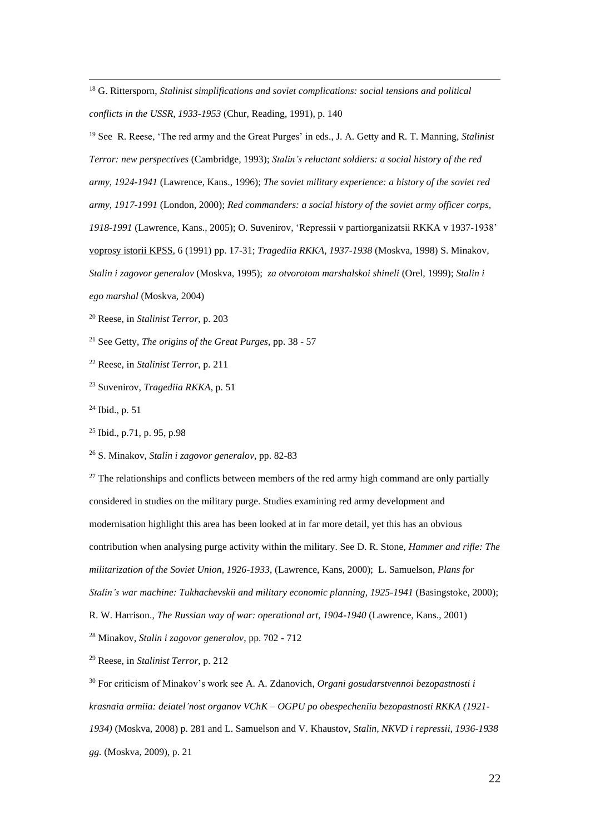<sup>18</sup> G. Rittersporn, *Stalinist simplifications and soviet complications: social tensions and political conflicts in the USSR, 1933-1953* (Chur, Reading, 1991), p. 140

<sup>19</sup> See R. Reese, 'The red army and the Great Purges' in eds., J. A. Getty and R. T. Manning, *Stalinist Terror: new perspectives* (Cambridge, 1993); *Stalin's reluctant soldiers: a social history of the red army, 1924-1941* (Lawrence, Kans., 1996); *The soviet military experience: a history of the soviet red army, 1917-1991* (London, 2000); *Red commanders: a social history of the soviet army officer corps, 1918-1991* (Lawrence, Kans., 2005); O. Suvenirov, 'Repressii v partiorganizatsii RKKA v 1937-1938' voprosy istorii KPSS, 6 (1991) pp. 17-31; *Tragediia RKKA, 1937-1938* (Moskva, 1998) S. Minakov, *Stalin i zagovor generalov* (Moskva, 1995); *za otvorotom marshalskoi shineli* (Orel, 1999); *Stalin i ego marshal* (Moskva, 2004)

- <sup>20</sup> Reese, in *Stalinist Terror*, p. 203
- <sup>21</sup> See Getty, *The origins of the Great Purges*, pp. 38 57
- <sup>22</sup> Reese, in *Stalinist Terror*, p. 211
- <sup>23</sup> Suvenirov, *Tragediia RKKA*, p. 51
- <sup>24</sup> Ibid., p. 51
- <sup>25</sup> Ibid., p.71, p. 95, p.98

<sup>26</sup> S. Minakov, *Stalin i zagovor generalov*, pp. 82-83

 $27$  The relationships and conflicts between members of the red army high command are only partially considered in studies on the military purge. Studies examining red army development and modernisation highlight this area has been looked at in far more detail, yet this has an obvious contribution when analysing purge activity within the military. See D. R. Stone, *Hammer and rifle: The militarization of the Soviet Union, 1926-1933*, (Lawrence, Kans, 2000); L. Samuelson, *Plans for Stalin's war machine: Tukhachevskii and military economic planning, 1925-1941* (Basingstoke, 2000); R. W. Harrison., *The Russian way of war: operational art, 1904-1940* (Lawrence, Kans., 2001)

<sup>28</sup> Minakov, *Stalin i zagovor generalov*, pp. 702 - 712

<sup>29</sup> Reese, in *Stalinist Terror*, p. 212

<sup>30</sup> For criticism of Minakov's work see A. A. Zdanovich, *Organi gosudarstvennoi bezopastnosti i krasnaia armiia: deiatel'nost organov VChK – OGPU po obespecheniiu bezopastnosti RKKA (1921- 1934)* (Moskva, 2008) p. 281 and L. Samuelson and V. Khaustov, *Stalin, NKVD i repressii, 1936-1938 gg.* (Moskva, 2009), p. 21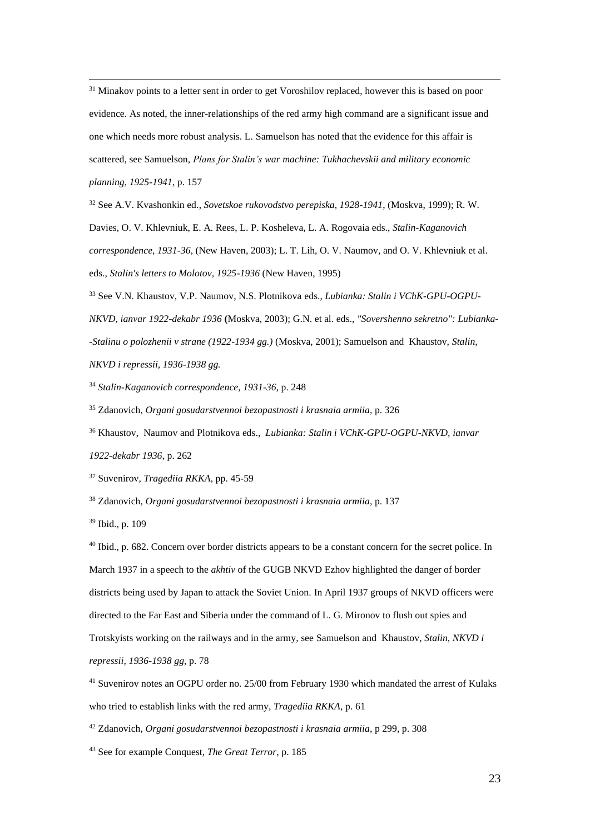<sup>31</sup> Minakov points to a letter sent in order to get Voroshilov replaced, however this is based on poor evidence. As noted, the inner-relationships of the red army high command are a significant issue and one which needs more robust analysis. L. Samuelson has noted that the evidence for this affair is scattered, see Samuelson, *Plans for Stalin's war machine: Tukhachevskii and military economic planning, 1925-1941*, p. 157

<sup>32</sup> See A.V. Kvashonkin ed., *Sovetskoe rukovodstvo perepiska, 1928-1941*, (Moskva, 1999); R. W.

Davies, O. V. Khlevniuk, E. A. Rees, L. P. Kosheleva, L. A. Rogovaia eds., *Stalin-Kaganovich* 

*correspondence, 1931-36*, (New Haven, 2003); L. T. Lih, O. V. Naumov, and O. V. Khlevniuk et al.

eds., *Stalin's letters to Molotov, 1925-1936* (New Haven, 1995)

<sup>33</sup> See V.N. Khaustov, V.P. Naumov, N.S. Plotnikova eds., *Lubianka: Stalin i VChK-GPU-OGPU-*

*NKVD, ianvar 1922-dekabr 1936* **(**Moskva, 2003); G.N. et al. eds., *"Sovershenno sekretno": Lubianka-*

*-Stalinu o polozhenii v strane (1922-1934 gg.)* (Moskva, 2001); Samuelson and Khaustov, *Stalin,* 

*NKVD i repressii, 1936-1938 gg.*

<sup>34</sup> *Stalin-Kaganovich correspondence, 1931-36*, p. 248

<sup>35</sup> Zdanovich, *Organi gosudarstvennoi bezopastnosti i krasnaia armiia,* p. 326

<sup>36</sup> Khaustov, Naumov and Plotnikova eds., *Lubianka: Stalin i VChK-GPU-OGPU-NKVD, ianvar 1922-dekabr 1936*, p. 262

<sup>37</sup> Suvenirov, *Tragediia RKKA*, pp. 45-59

<sup>38</sup> Zdanovich, *Organi gosudarstvennoi bezopastnosti i krasnaia armiia*, p. 137

<sup>39</sup> Ibid., p. 109

<sup>40</sup> Ibid., p. 682. Concern over border districts appears to be a constant concern for the secret police. In March 1937 in a speech to the *akhtiv* of the GUGB NKVD Ezhov highlighted the danger of border districts being used by Japan to attack the Soviet Union. In April 1937 groups of NKVD officers were directed to the Far East and Siberia under the command of L. G. Mironov to flush out spies and Trotskyists working on the railways and in the army, see Samuelson and Khaustov, *Stalin, NKVD i repressii, 1936-1938 gg*, p. 78

<sup>41</sup> Suvenirov notes an OGPU order no. 25/00 from February 1930 which mandated the arrest of Kulaks who tried to establish links with the red army, *Tragediia RKKA*, p. 61

<sup>42</sup> Zdanovich, *Organi gosudarstvennoi bezopastnosti i krasnaia armiia*, p 299, p. 308

<sup>43</sup> See for example Conquest, *The Great Terror*, p. 185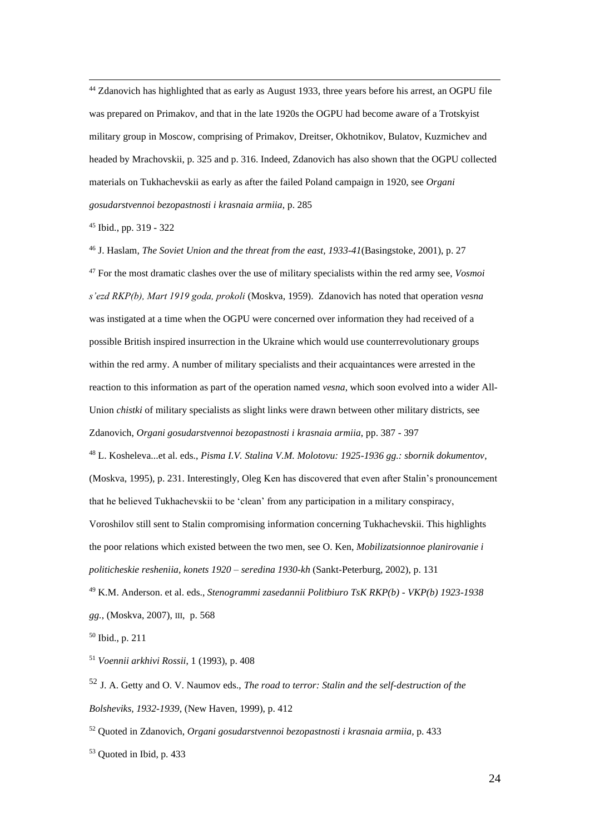<sup>44</sup> Zdanovich has highlighted that as early as August 1933, three years before his arrest, an OGPU file was prepared on Primakov, and that in the late 1920s the OGPU had become aware of a Trotskyist military group in Moscow, comprising of Primakov, Dreitser, Okhotnikov, Bulatov, Kuzmichev and headed by Mrachovskii, p. 325 and p. 316. Indeed, Zdanovich has also shown that the OGPU collected materials on Tukhachevskii as early as after the failed Poland campaign in 1920, see *Organi gosudarstvennoi bezopastnosti i krasnaia armiia*, p. 285

<sup>45</sup> Ibid., pp. 319 - 322

<sup>46</sup> J. Haslam, *The Soviet Union and the threat from the east, 1933-41*(Basingstoke, 2001), p. 27 <sup>47</sup> For the most dramatic clashes over the use of military specialists within the red army see, *Vosmoi s'ezd RKP(b), Mart 1919 goda, prokoli* (Moskva, 1959). Zdanovich has noted that operation *vesna* was instigated at a time when the OGPU were concerned over information they had received of a possible British inspired insurrection in the Ukraine which would use counterrevolutionary groups within the red army. A number of military specialists and their acquaintances were arrested in the reaction to this information as part of the operation named *vesna*, which soon evolved into a wider All-Union *chistki* of military specialists as slight links were drawn between other military districts, see Zdanovich, *Organi gosudarstvennoi bezopastnosti i krasnaia armiia*, pp. 387 - 397

<sup>48</sup> L. Kosheleva...et al. eds., *Pisma I.V. Stalina V.M. Molotovu: 1925-1936 gg.: sbornik dokumentov*, (Moskva, 1995), p. 231. Interestingly, Oleg Ken has discovered that even after Stalin's pronouncement that he believed Tukhachevskii to be 'clean' from any participation in a military conspiracy, Voroshilov still sent to Stalin compromising information concerning Tukhachevskii. This highlights the poor relations which existed between the two men, see O. Ken, *Mobilizatsionnoe planirovanie i politicheskie resheniia, konets 1920 – seredina 1930-kh* (Sankt-Peterburg, 2002), p. 131 <sup>49</sup> K.M. Anderson. et al. eds., *Stenogrammi zasedannii Politbiuro TsK RKP(b) - VKP(b) 1923-1938* 

*gg.*, (Moskva, 2007), III, p. 568

<sup>50</sup> Ibid., p. 211

<sup>51</sup> *Voennii arkhivi Rossii*, 1 (1993), p. 408

<sup>52</sup> J. A. Getty and O. V. Naumov eds., *The road to terror: Stalin and the self-destruction of the Bolsheviks, 1932-1939*, (New Haven, 1999), p. 412

<sup>52</sup> Quoted in Zdanovich, *Organi gosudarstvennoi bezopastnosti i krasnaia armiia,* p. 433

<sup>53</sup> Quoted in Ibid, p. 433